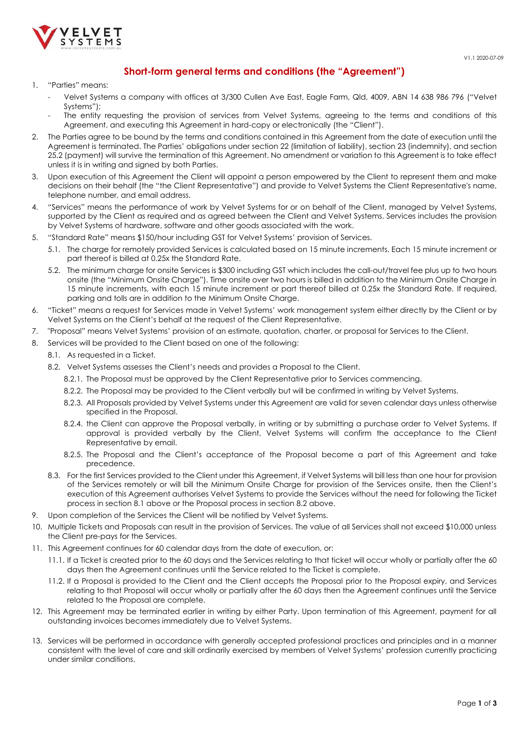

## **Short-form general terms and conditions (the "Agreement")**

## 1. "Parties" means:

- Velvet Systems a company with offices at 3/300 Cullen Ave East, Eagle Farm, Qld, 4009, ABN 14 638 986 796 ("Velvet Systems");
- The entity requesting the provision of services from Velvet Systems, agreeing to the terms and conditions of this Agreement, and executing this Agreement in hard-copy or electronically (the "Client").
- 2. The Parties agree to be bound by the terms and conditions contained in this Agreement from the date of execution until the Agreement is terminated. The Parties' obligations under sectio[n 22](#page-1-0) (limitation of liability), sectio[n 23](#page-1-1) (indemnity), and section [25.2](#page-1-2) (payment) will survive the termination of this Agreement. No amendment or variation to this Agreement is to take effect unless it is in writing and signed by both Parties.
- 3. Upon execution of this Agreement the Client will appoint a person empowered by the Client to represent them and make decisions on their behalf (the "the Client Representative") and provide to Velvet Systems the Client Representative's name, telephone number, and email address.
- 4. "Services" means the performance of work by Velvet Systems for or on behalf of the Client, managed by Velvet Systems, supported by the Client as required and as agreed between the Client and Velvet Systems. Services includes the provision by Velvet Systems of hardware, software and other goods associated with the work.
- 5. "Standard Rate" means \$150/hour including GST for Velvet Systems' provision of Services.
	- 5.1. The charge for remotely provided Services is calculated based on 15 minute increments. Each 15 minute increment or part thereof is billed at 0.25x the Standard Rate.
	- 5.2. The minimum charge for onsite Services is \$300 including GST which includes the call-out/travel fee plus up to two hours onsite (the "Minimum Onsite Charge"). Time onsite over two hours is billed in addition to the Minimum Onsite Charge in 15 minute increments, with each 15 minute increment or part thereof billed at 0.25x the Standard Rate. If required, parking and tolls are in addition to the Minimum Onsite Charge.
- 6. "Ticket" means a request for Services made in Velvet Systems' work management system either directly by the Client or by Velvet Systems on the Client's behalf at the request of the Client Representative.
- 7. "Proposal" means Velvet Systems' provision of an estimate, quotation, charter, or proposal for Services to the Client.
- <span id="page-0-1"></span><span id="page-0-0"></span>8. Services will be provided to the Client based on one of the following:
	- 8.1. As requested in a Ticket.
		- 8.2. Velvet Systems assesses the Client's needs and provides a Proposal to the Client.
			- 8.2.1. The Proposal must be approved by the Client Representative prior to Services commencing.
			- 8.2.2. The Proposal may be provided to the Client verbally but will be confirmed in writing by Velvet Systems.
			- 8.2.3. All Proposals provided by Velvet Systems under this Agreement are valid for seven calendar days unless otherwise specified in the Proposal.
			- 8.2.4. the Client can approve the Proposal verbally, in writing or by submitting a purchase order to Velvet Systems. If approval is provided verbally by the Client, Velvet Systems will confirm the acceptance to the Client Representative by email.
			- 8.2.5. The Proposal and the Client's acceptance of the Proposal become a part of this Agreement and take precedence.
		- 8.3. For the first Services provided to the Client under this Agreement, if Velvet Systems will bill less than one hour for provision of the Services remotely or will bill the Minimum Onsite Charge for provision of the Services onsite, then the Client's execution of this Agreement authorises Velvet Systems to provide the Services without the need for following the Ticket process in sectio[n 8.1](#page-0-0) above or the Proposal process in section [8.2](#page-0-1) above.
- Upon completion of the Services the Client will be notified by Velvet Systems.
- 10. Multiple Tickets and Proposals can result in the provision of Services. The value of all Services shall not exceed \$10,000 unless the Client pre-pays for the Services.
- 11. This Agreement continues for 60 calendar days from the date of execution, or:
	- 11.1. If a Ticket is created prior to the 60 days and the Services relating to that ticket will occur wholly or partially after the 60 days then the Agreement continues until the Service related to the Ticket is complete.
	- 11.2. If a Proposal is provided to the Client and the Client accepts the Proposal prior to the Proposal expiry, and Services relating to that Proposal will occur wholly or partially after the 60 days then the Agreement continues until the Service related to the Proposal are complete.
- 12. This Agreement may be terminated earlier in writing by either Party. Upon termination of this Agreement, payment for all outstanding invoices becomes immediately due to Velvet Systems.
- 13. Services will be performed in accordance with generally accepted professional practices and principles and in a manner consistent with the level of care and skill ordinarily exercised by members of Velvet Systems' profession currently practicing under similar conditions.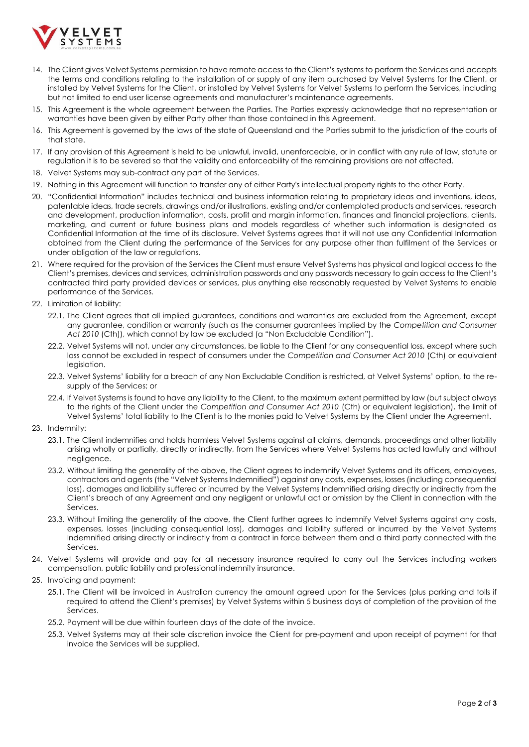

- 14. The Client gives Velvet Systems permission to have remote access to the Client's systems to perform the Services and accepts the terms and conditions relating to the installation of or supply of any item purchased by Velvet Systems for the Client, or installed by Velvet Systems for the Client, or installed by Velvet Systems for Velvet Systems to perform the Services, including but not limited to end user license agreements and manufacturer's maintenance agreements.
- 15. This Agreement is the whole agreement between the Parties. The Parties expressly acknowledge that no representation or warranties have been given by either Party other than those contained in this Agreement.
- 16. This Agreement is governed by the laws of the state of Queensland and the Parties submit to the jurisdiction of the courts of that state.
- 17. If any provision of this Agreement is held to be unlawful, invalid, unenforceable, or in conflict with any rule of law, statute or regulation it is to be severed so that the validity and enforceability of the remaining provisions are not affected.
- 18. Velvet Systems may sub-contract any part of the Services.
- 19. Nothing in this Agreement will function to transfer any of either Party's intellectual property rights to the other Party.
- 20. "Confidential Information" includes technical and business information relating to proprietary ideas and inventions, ideas, patentable ideas, trade secrets, drawings and/or illustrations, existing and/or contemplated products and services, research and development, production information, costs, profit and margin information, finances and financial projections, clients, marketing, and current or future business plans and models regardless of whether such information is designated as Confidential Information at the time of its disclosure. Velvet Systems agrees that it will not use any Confidential Information obtained from the Client during the performance of the Services for any purpose other than fulfilment of the Services or under obligation of the law or regulations.
- 21. Where required for the provision of the Services the Client must ensure Velvet Systems has physical and logical access to the Client's premises, devices and services, administration passwords and any passwords necessary to gain access to the Client's contracted third party provided devices or services, plus anything else reasonably requested by Velvet Systems to enable performance of the Services.
- <span id="page-1-0"></span>22. Limitation of liability:
	- 22.1. The Client agrees that all implied guarantees, conditions and warranties are excluded from the Agreement, except any guarantee, condition or warranty (such as the consumer guarantees implied by the *Competition and Consumer Act 2010* (Cth)), which cannot by law be excluded (a "Non Excludable Condition").
	- 22.2. Velvet Systems will not, under any circumstances, be liable to the Client for any consequential loss, except where such loss cannot be excluded in respect of consumers under the *Competition and Consumer Act 2010* (Cth) or equivalent legislation.
	- 22.3. Velvet Systems' liability for a breach of any Non Excludable Condition is restricted, at Velvet Systems' option, to the resupply of the Services; or
	- 22.4. If Velvet Systems is found to have any liability to the Client, to the maximum extent permitted by law (but subject always to the rights of the Client under the *Competition and Consumer Act 2010* (Cth) or equivalent legislation), the limit of Velvet Systems' total liability to the Client is to the monies paid to Velvet Systems by the Client under the Agreement.
- <span id="page-1-1"></span>23. Indemnity:
	- 23.1. The Client indemnifies and holds harmless Velvet Systems against all claims, demands, proceedings and other liability arising wholly or partially, directly or indirectly, from the Services where Velvet Systems has acted lawfully and without negligence.
	- 23.2. Without limiting the generality of the above, the Client agrees to indemnify Velvet Systems and its officers, employees, contractors and agents (the "Velvet Systems Indemnified") against any costs, expenses, losses (including consequential loss), damages and liability suffered or incurred by the Velvet Systems Indemnified arising directly or indirectly from the Client's breach of any Agreement and any negligent or unlawful act or omission by the Client in connection with the Services.
	- 23.3. Without limiting the generality of the above, the Client further agrees to indemnify Velvet Systems against any costs, expenses, losses (including consequential loss), damages and liability suffered or incurred by the Velvet Systems Indemnified arising directly or indirectly from a contract in force between them and a third party connected with the Services.
- 24. Velvet Systems will provide and pay for all necessary insurance required to carry out the Services including workers compensation, public liability and professional indemnity insurance.
- <span id="page-1-2"></span>25. Invoicing and payment:
	- 25.1. The Client will be invoiced in Australian currency the amount agreed upon for the Services (plus parking and tolls if required to attend the Client's premises) by Velvet Systems within 5 business days of completion of the provision of the **Services**
	- 25.2. Payment will be due within fourteen days of the date of the invoice.
	- 25.3. Velvet Systems may at their sole discretion invoice the Client for pre-payment and upon receipt of payment for that invoice the Services will be supplied.